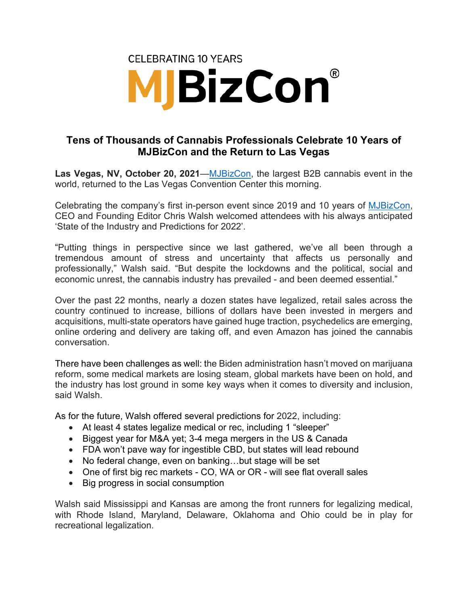

## **Tens of Thousands of Cannabis Professionals Celebrate 10 Years of MJBizCon and the Return to Las Vegas**

**Las Vegas, NV, October 20, 2021**[—MJBizCon,](https://mjbizconference.com/) the largest B2B cannabis event in the world, returned to the Las Vegas Convention Center this morning.

Celebrating the company's first in-person event since 2019 and 10 years of [MJBizCon,](https://mjbizconference.com/) CEO and Founding Editor Chris Walsh welcomed attendees with his always anticipated 'State of the Industry and Predictions for 2022'.

"Putting things in perspective since we last gathered, we've all been through a tremendous amount of stress and uncertainty that affects us personally and professionally," Walsh said. "But despite the lockdowns and the political, social and economic unrest, the cannabis industry has prevailed - and been deemed essential."

Over the past 22 months, nearly a dozen states have legalized, retail sales across the country continued to increase, billions of dollars have been invested in mergers and acquisitions, multi-state operators have gained huge traction, psychedelics are emerging, online ordering and delivery are taking off, and even Amazon has joined the cannabis conversation.

There have been challenges as well: the Biden administration hasn't moved on marijuana reform, some medical markets are losing steam, global markets have been on hold, and the industry has lost ground in some key ways when it comes to diversity and inclusion, said Walsh.

As for the future, Walsh offered several predictions for 2022, including:

- At least 4 states legalize medical or rec, including 1 "sleeper"
- Biggest year for M&A yet; 3-4 mega mergers in the US & Canada
- FDA won't pave way for ingestible CBD, but states will lead rebound
- No federal change, even on banking...but stage will be set
- One of first big rec markets CO, WA or OR will see flat overall sales
- Big progress in social consumption

Walsh said Mississippi and Kansas are among the front runners for legalizing medical, with Rhode Island, Maryland, Delaware, Oklahoma and Ohio could be in play for recreational legalization.